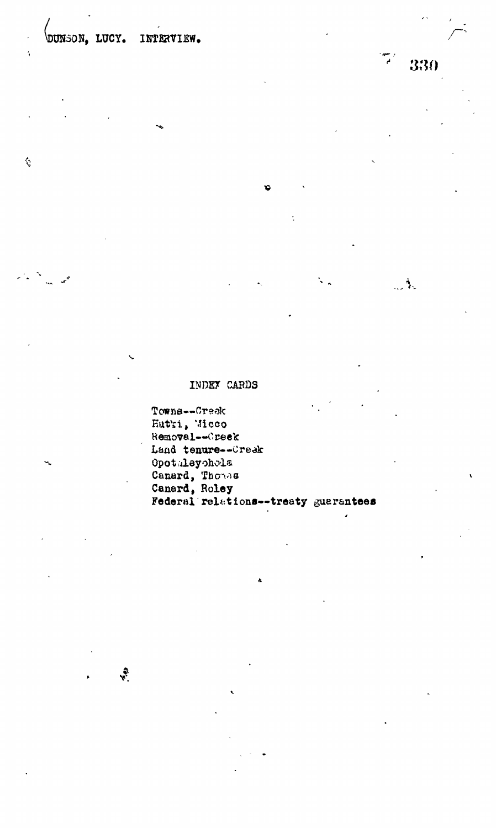$\mathbf{r}$ 

ŀ.

 $\zeta$ 

 $\sim$   $\Lambda$ 

#### INDEY CARDS

Towns--Creek Hutki, Micco<br>Removal--Oreek Land tenure--Creek Opotaleyohola Canard, Thomas Federal relations--treaty guarantees

 $\ddot{\mathbf{v}}$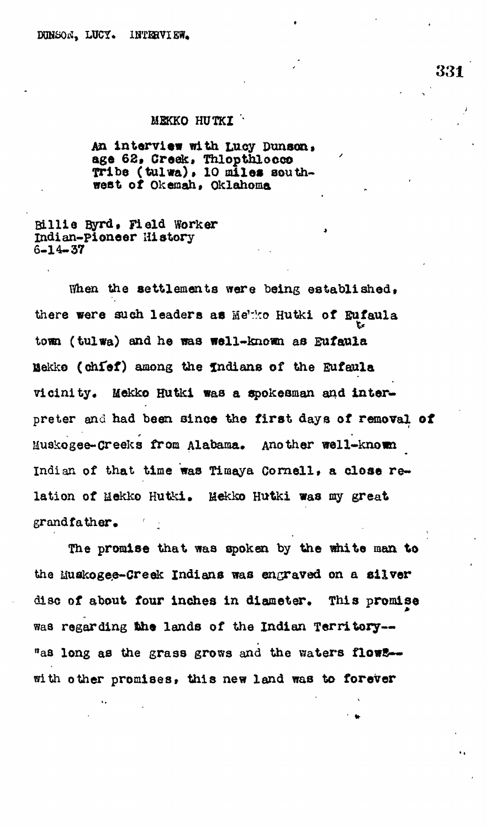#### **MEKKO HUTKI '\***

An interview with Lucy Dunson, **age 62. Creek. Thlopthlocco**  $'$ **Tribe (tulwa), 10 miles southvest of Okemah, Oklahoma** 

**Billte Byrd, Field worker Indian-pioneer History 6-14-37**

When the settlements were being established. **there were such leaders as Me':ko Hutki of Eufaula torn (fculwa) and he was well-known as Sufaula ISekko (chfef) among the Indians of the Eufaula** vicinity. Mekko Hutki was a spokesman and inter**preter and had been sinoe the first days of removal of Muskogee-Creeks from Alabama. Another well-known** Indian of that time was Timaya Cornell, a close relation of Mekko Hutki. Mekko Hutki was my great **grandfather. :**

**The promise that was spoken by the white man to** the Euskogee-Creek Indians was engraved on a silver disc of about four inches in diameter. This promise **waa regarding the lands of the Indian Territory** *n* **as long as the grass grows and the waters flows** with other promises, this new land was to forever

 **,**

**;**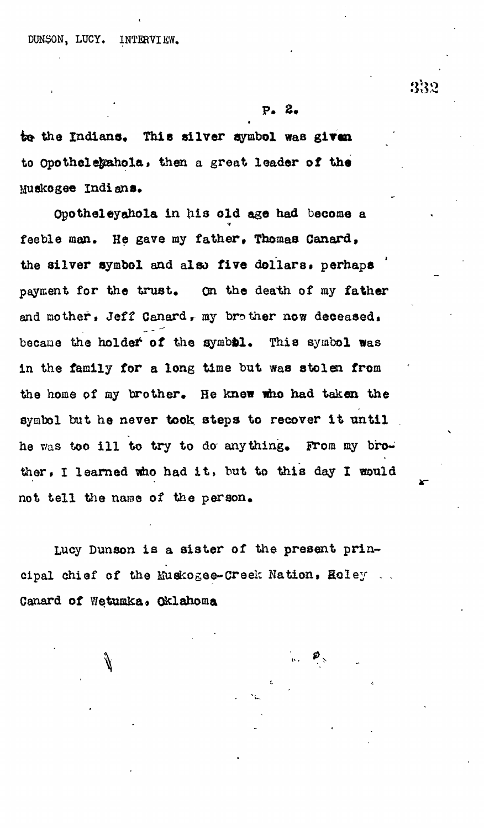## **F. 2.**

to the Indians. This silver symbol was given to Opothelexahola, then a great leader of the **Muskogee Indians\***

**Opotheleyahola in his old age had become a feeble man. He gave my father, Thomas Canard, the silver symbol and also five dollars, perhaps** payment for the trust. On the death of my father **and mother, Jeff Canardr my brother now deceased,** became the holder of the symbol. This symbol was **in the family for a long time but was stolen from the home of ay brother. He knew who had taken the** symbol but he never took steps to recover it until he was too ill to try to do anything. From my brother, I learned who had it, but to this day I would **not tell the name of the person,**

Lucy Dunson is a sister of the present prin**cipal chief of the Muskogee-Creek Nation, Soley . .** Canard of Wetumka. Oklahoma

# 332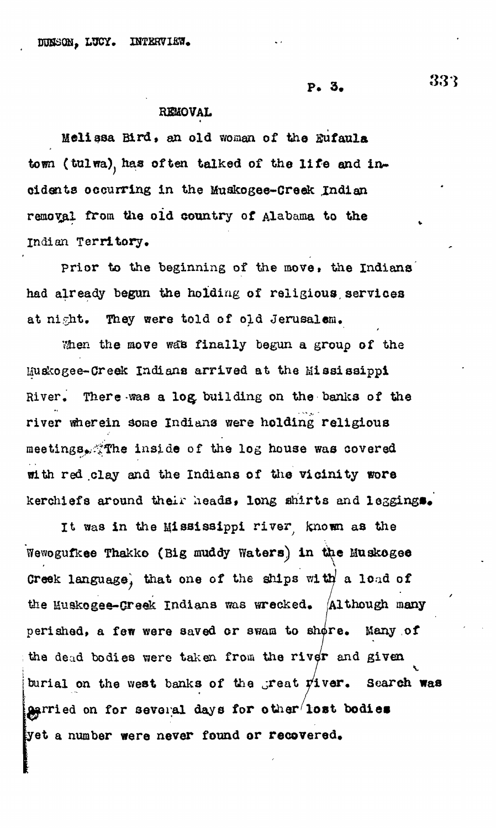$P. 3. 33$ 

## REMOVAL

Melissa Bird, an old woman of the Eufaula town (tulwa). has often talked of the life and incidents occurring in the Muskogee-Greek Indian removal from the old country of Alabama to the Indian Territory,

prior to the beginning of the move, the Indians<sup>'</sup> had already begun the holding of religious, services at night. They were told of old Jerusalem,

When the move was finally begun a group of the Huskogee-Creek Indians arrived at the Mississippi River, There was a log, building on the banks of the river wherein some Indians were holding religious meetings,  $\mathbb{R}^n$  inside of the log house was covered with red .clay and the Indians of the vicinity wore kerchiefs around their heads, long shirts and leggings.

It was in the Mississippi river known as the Wewogufkee Thakko (Big muddy Waters) in the Muskogee Creek language, that one of the ships with a load of the Muskogee-Creek Indians was wrecked. Although many perished, a few were saved or swam to shore. Many of the dead bodies were taken from the river and given burial on the west banks of the great  $\psi$ iver. Search was  $q$ grried on for several days for other lost bodies yet a number were never found or recovered.